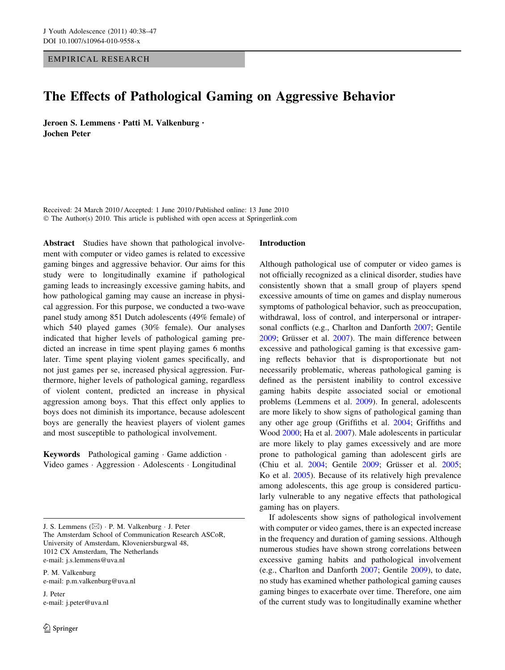EMPIRICAL RESEARCH

# The Effects of Pathological Gaming on Aggressive Behavior

Jeroen S. Lemmens • Patti M. Valkenburg • Jochen Peter

Received: 24 March 2010 / Accepted: 1 June 2010 / Published online: 13 June 2010 © The Author(s) 2010. This article is published with open access at Springerlink.com

Abstract Studies have shown that pathological involvement with computer or video games is related to excessive gaming binges and aggressive behavior. Our aims for this study were to longitudinally examine if pathological gaming leads to increasingly excessive gaming habits, and how pathological gaming may cause an increase in physical aggression. For this purpose, we conducted a two-wave panel study among 851 Dutch adolescents (49% female) of which 540 played games (30% female). Our analyses indicated that higher levels of pathological gaming predicted an increase in time spent playing games 6 months later. Time spent playing violent games specifically, and not just games per se, increased physical aggression. Furthermore, higher levels of pathological gaming, regardless of violent content, predicted an increase in physical aggression among boys. That this effect only applies to boys does not diminish its importance, because adolescent boys are generally the heaviest players of violent games and most susceptible to pathological involvement.

Keywords Pathological gaming - Game addiction - Video games - Aggression - Adolescents - Longitudinal

J. S. Lemmens (&) - P. M. Valkenburg - J. Peter The Amsterdam School of Communication Research ASCoR, University of Amsterdam, Kloveniersburgwal 48, 1012 CX Amsterdam, The Netherlands e-mail: j.s.lemmens@uva.nl

P. M. Valkenburg e-mail: p.m.valkenburg@uva.nl

J. Peter e-mail: j.peter@uva.nl

#### Introduction

Although pathological use of computer or video games is not officially recognized as a clinical disorder, studies have consistently shown that a small group of players spend excessive amounts of time on games and display numerous symptoms of pathological behavior, such as preoccupation, withdrawal, loss of control, and interpersonal or intrapersonal conflicts (e.g., Charlton and Danforth [2007](#page-8-0); Gentile  $2009$ ; Grüsser et al.  $2007$ ). The main difference between excessive and pathological gaming is that excessive gaming reflects behavior that is disproportionate but not necessarily problematic, whereas pathological gaming is defined as the persistent inability to control excessive gaming habits despite associated social or emotional problems (Lemmens et al. [2009\)](#page-9-0). In general, adolescents are more likely to show signs of pathological gaming than any other age group (Griffiths et al. [2004](#page-9-0); Griffiths and Wood [2000](#page-9-0); Ha et al. [2007\)](#page-9-0). Male adolescents in particular are more likely to play games excessively and are more prone to pathological gaming than adolescent girls are (Chiu et al. [2004](#page-8-0); Gentile [2009](#page-8-0); Grüsser et al. [2005](#page-9-0); Ko et al. [2005](#page-9-0)). Because of its relatively high prevalence among adolescents, this age group is considered particularly vulnerable to any negative effects that pathological gaming has on players.

If adolescents show signs of pathological involvement with computer or video games, there is an expected increase in the frequency and duration of gaming sessions. Although numerous studies have shown strong correlations between excessive gaming habits and pathological involvement (e.g., Charlton and Danforth [2007;](#page-8-0) Gentile [2009\)](#page-8-0), to date, no study has examined whether pathological gaming causes gaming binges to exacerbate over time. Therefore, one aim of the current study was to longitudinally examine whether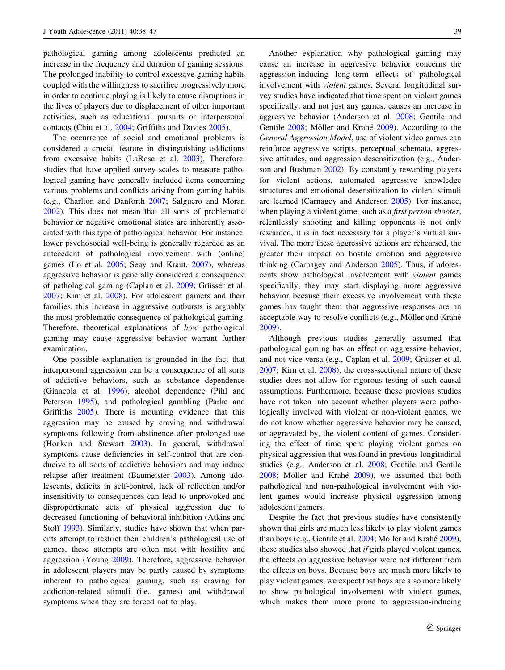pathological gaming among adolescents predicted an increase in the frequency and duration of gaming sessions. The prolonged inability to control excessive gaming habits coupled with the willingness to sacrifice progressively more in order to continue playing is likely to cause disruptions in the lives of players due to displacement of other important activities, such as educational pursuits or interpersonal contacts (Chiu et al. [2004;](#page-8-0) Griffiths and Davies [2005](#page-9-0)).

The occurrence of social and emotional problems is considered a crucial feature in distinguishing addictions from excessive habits (LaRose et al. [2003\)](#page-9-0). Therefore, studies that have applied survey scales to measure pathological gaming have generally included items concerning various problems and conflicts arising from gaming habits (e.g., Charlton and Danforth [2007;](#page-8-0) Salguero and Moran [2002\)](#page-9-0). This does not mean that all sorts of problematic behavior or negative emotional states are inherently associated with this type of pathological behavior. For instance, lower psychosocial well-being is generally regarded as an antecedent of pathological involvement with (online) games (Lo et al. [2005](#page-9-0); Seay and Kraut, [2007](#page-9-0)), whereas aggressive behavior is generally considered a consequence of pathological gaming (Caplan et al. [2009](#page-8-0); Grüsser et al. [2007;](#page-9-0) Kim et al. [2008\)](#page-9-0). For adolescent gamers and their families, this increase in aggressive outbursts is arguably the most problematic consequence of pathological gaming. Therefore, theoretical explanations of how pathological gaming may cause aggressive behavior warrant further examination.

One possible explanation is grounded in the fact that interpersonal aggression can be a consequence of all sorts of addictive behaviors, such as substance dependence (Giancola et al. [1996\)](#page-9-0), alcohol dependence (Pihl and Peterson [1995](#page-9-0)), and pathological gambling (Parke and Griffiths [2005](#page-9-0)). There is mounting evidence that this aggression may be caused by craving and withdrawal symptoms following from abstinence after prolonged use (Hoaken and Stewart [2003](#page-9-0)). In general, withdrawal symptoms cause deficiencies in self-control that are conducive to all sorts of addictive behaviors and may induce relapse after treatment (Baumeister [2003](#page-8-0)). Among adolescents, deficits in self-control, lack of reflection and/or insensitivity to consequences can lead to unprovoked and disproportionate acts of physical aggression due to decreased functioning of behavioral inhibition (Atkins and Stoff [1993](#page-8-0)). Similarly, studies have shown that when parents attempt to restrict their children's pathological use of games, these attempts are often met with hostility and aggression (Young [2009](#page-9-0)). Therefore, aggressive behavior in adolescent players may be partly caused by symptoms inherent to pathological gaming, such as craving for addiction-related stimuli (i.e., games) and withdrawal symptoms when they are forced not to play.

Another explanation why pathological gaming may cause an increase in aggressive behavior concerns the aggression-inducing long-term effects of pathological involvement with violent games. Several longitudinal survey studies have indicated that time spent on violent games specifically, and not just any games, causes an increase in aggressive behavior (Anderson et al. [2008;](#page-8-0) Gentile and Gentile [2008;](#page-9-0) Möller and Krahé [2009](#page-9-0)). According to the General Aggression Model, use of violent video games can reinforce aggressive scripts, perceptual schemata, aggressive attitudes, and aggression desensitization (e.g., Anderson and Bushman [2002](#page-8-0)). By constantly rewarding players for violent actions, automated aggressive knowledge structures and emotional desensitization to violent stimuli are learned (Carnagey and Anderson [2005\)](#page-8-0). For instance, when playing a violent game, such as a first person shooter, relentlessly shooting and killing opponents is not only rewarded, it is in fact necessary for a player's virtual survival. The more these aggressive actions are rehearsed, the greater their impact on hostile emotion and aggressive thinking (Carnagey and Anderson [2005\)](#page-8-0). Thus, if adolescents show pathological involvement with violent games specifically, they may start displaying more aggressive behavior because their excessive involvement with these games has taught them that aggressive responses are an acceptable way to resolve conflicts (e.g., Möller and Krahé [2009](#page-9-0)).

Although previous studies generally assumed that pathological gaming has an effect on aggressive behavior, and not vice versa (e.g., Caplan et al. [2009](#page-8-0); Grüsser et al. [2007](#page-9-0); Kim et al. [2008\)](#page-9-0), the cross-sectional nature of these studies does not allow for rigorous testing of such causal assumptions. Furthermore, because these previous studies have not taken into account whether players were pathologically involved with violent or non-violent games, we do not know whether aggressive behavior may be caused, or aggravated by, the violent content of games. Considering the effect of time spent playing violent games on physical aggression that was found in previous longitudinal studies (e.g., Anderson et al. [2008;](#page-8-0) Gentile and Gentile  $2008$ ; Möller and Krahé  $2009$ ), we assumed that both pathological and non-pathological involvement with violent games would increase physical aggression among adolescent gamers.

Despite the fact that previous studies have consistently shown that girls are much less likely to play violent games than boys (e.g., Gentile et al. [2004](#page-9-0); Möller and Krahé [2009](#page-9-0)), these studies also showed that if girls played violent games, the effects on aggressive behavior were not different from the effects on boys. Because boys are much more likely to play violent games, we expect that boys are also more likely to show pathological involvement with violent games, which makes them more prone to aggression-inducing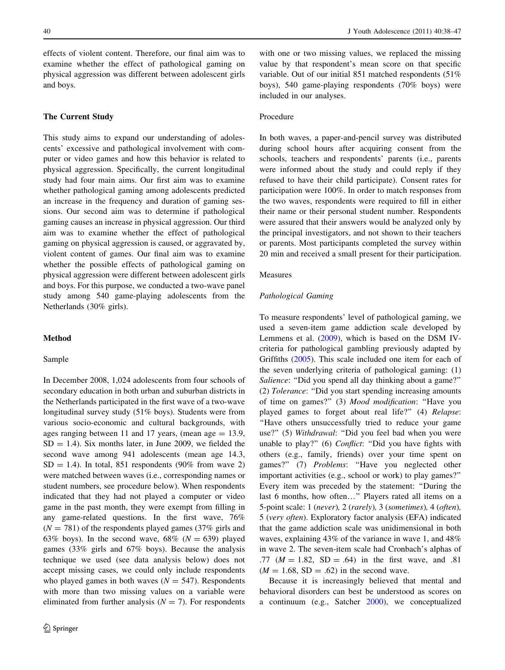effects of violent content. Therefore, our final aim was to examine whether the effect of pathological gaming on physical aggression was different between adolescent girls and boys.

# The Current Study

This study aims to expand our understanding of adolescents' excessive and pathological involvement with computer or video games and how this behavior is related to physical aggression. Specifically, the current longitudinal study had four main aims. Our first aim was to examine whether pathological gaming among adolescents predicted an increase in the frequency and duration of gaming sessions. Our second aim was to determine if pathological gaming causes an increase in physical aggression. Our third aim was to examine whether the effect of pathological gaming on physical aggression is caused, or aggravated by, violent content of games. Our final aim was to examine whether the possible effects of pathological gaming on physical aggression were different between adolescent girls and boys. For this purpose, we conducted a two-wave panel study among 540 game-playing adolescents from the Netherlands (30% girls).

# Method

#### Sample

In December 2008, 1,024 adolescents from four schools of secondary education in both urban and suburban districts in the Netherlands participated in the first wave of a two-wave longitudinal survey study (51% boys). Students were from various socio-economic and cultural backgrounds, with ages ranging between 11 and 17 years, (mean age  $= 13.9$ ,  $SD = 1.4$ ). Six months later, in June 2009, we fielded the second wave among 941 adolescents (mean age 14.3,  $SD = 1.4$ ). In total, 851 respondents (90% from wave 2) were matched between waves (i.e., corresponding names or student numbers, see procedure below). When respondents indicated that they had not played a computer or video game in the past month, they were exempt from filling in any game-related questions. In the first wave, 76%  $(N = 781)$  of the respondents played games (37% girls and 63% boys). In the second wave, 68% ( $N = 639$ ) played games (33% girls and 67% boys). Because the analysis technique we used (see data analysis below) does not accept missing cases, we could only include respondents who played games in both waves ( $N = 547$ ). Respondents with more than two missing values on a variable were eliminated from further analysis  $(N = 7)$ . For respondents

with one or two missing values, we replaced the missing value by that respondent's mean score on that specific variable. Out of our initial 851 matched respondents (51% boys), 540 game-playing respondents (70% boys) were included in our analyses.

# Procedure

In both waves, a paper-and-pencil survey was distributed during school hours after acquiring consent from the schools, teachers and respondents' parents (i.e., parents were informed about the study and could reply if they refused to have their child participate). Consent rates for participation were 100%. In order to match responses from the two waves, respondents were required to fill in either their name or their personal student number. Respondents were assured that their answers would be analyzed only by the principal investigators, and not shown to their teachers or parents. Most participants completed the survey within 20 min and received a small present for their participation.

### Measures

# Pathological Gaming

To measure respondents' level of pathological gaming, we used a seven-item game addiction scale developed by Lemmens et al. [\(2009](#page-9-0)), which is based on the DSM IVcriteria for pathological gambling previously adapted by Griffiths ([2005\)](#page-9-0). This scale included one item for each of the seven underlying criteria of pathological gaming: (1) Salience: "Did you spend all day thinking about a game?" (2) Tolerance: ''Did you start spending increasing amounts of time on games?" (3) Mood modification: "Have you played games to forget about real life?" (4) Relapse: ''Have others unsuccessfully tried to reduce your game use?" (5) Withdrawal: "Did you feel bad when you were unable to play?" (6) Conflict: "Did you have fights with others (e.g., family, friends) over your time spent on games?" (7) Problems: "Have you neglected other important activities (e.g., school or work) to play games?'' Every item was preceded by the statement: ''During the last 6 months, how often…'' Players rated all items on a 5-point scale: 1 (never), 2 (rarely), 3 (sometimes), 4 (often), 5 (very often). Exploratory factor analysis (EFA) indicated that the game addiction scale was unidimensional in both waves, explaining 43% of the variance in wave 1, and 48% in wave 2. The seven-item scale had Cronbach's alphas of .77 ( $M = 1.82$ ,  $SD = .64$ ) in the first wave, and .81  $(M = 1.68, SD = .62)$  in the second wave.

Because it is increasingly believed that mental and behavioral disorders can best be understood as scores on a continuum (e.g., Satcher [2000](#page-9-0)), we conceptualized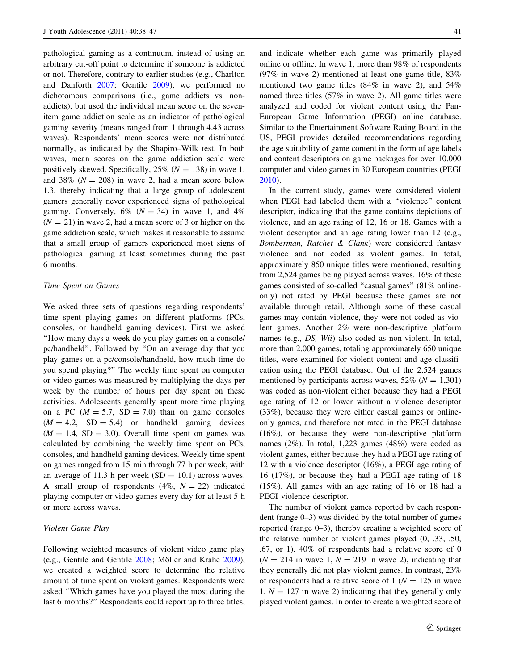pathological gaming as a continuum, instead of using an arbitrary cut-off point to determine if someone is addicted or not. Therefore, contrary to earlier studies (e.g., Charlton and Danforth [2007;](#page-8-0) Gentile [2009](#page-8-0)), we performed no dichotomous comparisons (i.e., game addicts vs. nonaddicts), but used the individual mean score on the sevenitem game addiction scale as an indicator of pathological gaming severity (means ranged from 1 through 4.43 across waves). Respondents' mean scores were not distributed normally, as indicated by the Shapiro–Wilk test. In both waves, mean scores on the game addiction scale were positively skewed. Specifically,  $25\%$  ( $N = 138$ ) in wave 1, and 38% ( $N = 208$ ) in wave 2, had a mean score below 1.3, thereby indicating that a large group of adolescent gamers generally never experienced signs of pathological gaming. Conversely,  $6\%$  ( $N = 34$ ) in wave 1, and  $4\%$  $(N = 21)$  in wave 2, had a mean score of 3 or higher on the game addiction scale, which makes it reasonable to assume that a small group of gamers experienced most signs of pathological gaming at least sometimes during the past 6 months.

# Time Spent on Games

We asked three sets of questions regarding respondents' time spent playing games on different platforms (PCs, consoles, or handheld gaming devices). First we asked ''How many days a week do you play games on a console/ pc/handheld''. Followed by ''On an average day that you play games on a pc/console/handheld, how much time do you spend playing?'' The weekly time spent on computer or video games was measured by multiplying the days per week by the number of hours per day spent on these activities. Adolescents generally spent more time playing on a PC ( $M = 5.7$ , SD = 7.0) than on game consoles  $(M = 4.2, SD = 5.4)$  or handheld gaming devices  $(M = 1.4, SD = 3.0)$ . Overall time spent on games was calculated by combining the weekly time spent on PCs, consoles, and handheld gaming devices. Weekly time spent on games ranged from 15 min through 77 h per week, with an average of 11.3 h per week  $(SD = 10.1)$  across waves. A small group of respondents  $(4\%, N = 22)$  indicated playing computer or video games every day for at least 5 h or more across waves.

#### Violent Game Play

Following weighted measures of violent video game play (e.g., Gentile and Gentile  $2008$ ; Möller and Krahé  $2009$ ), we created a weighted score to determine the relative amount of time spent on violent games. Respondents were asked ''Which games have you played the most during the last 6 months?'' Respondents could report up to three titles, and indicate whether each game was primarily played online or offline. In wave 1, more than 98% of respondents (97% in wave 2) mentioned at least one game title, 83% mentioned two game titles (84% in wave 2), and 54% named three titles (57% in wave 2). All game titles were analyzed and coded for violent content using the Pan-European Game Information (PEGI) online database. Similar to the Entertainment Software Rating Board in the US, PEGI provides detailed recommendations regarding the age suitability of game content in the form of age labels and content descriptors on game packages for over 10.000 computer and video games in 30 European countries (PEGI [2010](#page-9-0)).

In the current study, games were considered violent when PEGI had labeled them with a ''violence'' content descriptor, indicating that the game contains depictions of violence, and an age rating of 12, 16 or 18. Games with a violent descriptor and an age rating lower than 12 (e.g., Bomberman, Ratchet & Clank) were considered fantasy violence and not coded as violent games. In total, approximately 850 unique titles were mentioned, resulting from 2,524 games being played across waves. 16% of these games consisted of so-called "casual games" (81% onlineonly) not rated by PEGI because these games are not available through retail. Although some of these casual games may contain violence, they were not coded as violent games. Another 2% were non-descriptive platform names (e.g., DS, Wii) also coded as non-violent. In total, more than 2,000 games, totaling approximately 650 unique titles, were examined for violent content and age classification using the PEGI database. Out of the 2,524 games mentioned by participants across waves,  $52\%$  ( $N = 1,301$ ) was coded as non-violent either because they had a PEGI age rating of 12 or lower without a violence descriptor (33%), because they were either casual games or onlineonly games, and therefore not rated in the PEGI database (16%), or because they were non-descriptive platform names (2%). In total, 1,223 games (48%) were coded as violent games, either because they had a PEGI age rating of 12 with a violence descriptor (16%), a PEGI age rating of 16 (17%), or because they had a PEGI age rating of 18 (15%). All games with an age rating of 16 or 18 had a PEGI violence descriptor.

The number of violent games reported by each respondent (range 0–3) was divided by the total number of games reported (range 0–3), thereby creating a weighted score of the relative number of violent games played (0, .33, .50, .67, or 1). 40% of respondents had a relative score of 0  $(N = 214$  in wave 1,  $N = 219$  in wave 2), indicating that they generally did not play violent games. In contrast, 23% of respondents had a relative score of 1 ( $N = 125$  in wave 1,  $N = 127$  in wave 2) indicating that they generally only played violent games. In order to create a weighted score of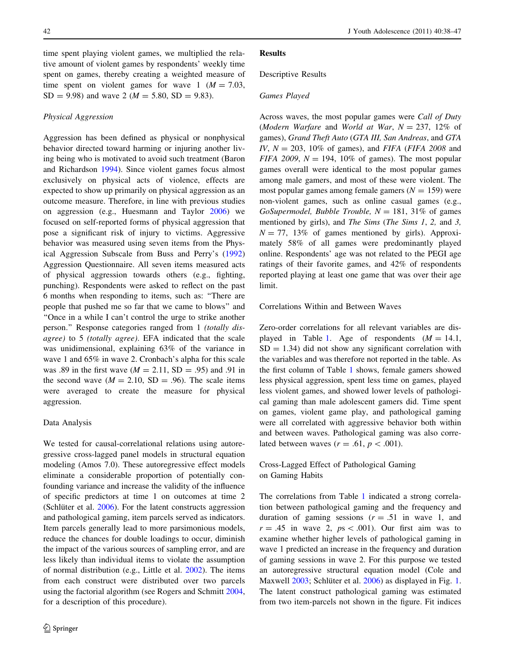time spent playing violent games, we multiplied the relative amount of violent games by respondents' weekly time spent on games, thereby creating a weighted measure of time spent on violent games for wave 1 ( $M = 7.03$ ,  $SD = 9.98$ ) and wave 2 ( $M = 5.80$ ,  $SD = 9.83$ ).

#### Physical Aggression

Aggression has been defined as physical or nonphysical behavior directed toward harming or injuring another living being who is motivated to avoid such treatment (Baron and Richardson [1994](#page-8-0)). Since violent games focus almost exclusively on physical acts of violence, effects are expected to show up primarily on physical aggression as an outcome measure. Therefore, in line with previous studies on aggression (e.g., Huesmann and Taylor [2006\)](#page-9-0) we focused on self-reported forms of physical aggression that pose a significant risk of injury to victims. Aggressive behavior was measured using seven items from the Physical Aggression Subscale from Buss and Perry's ([1992\)](#page-8-0) Aggression Questionnaire. All seven items measured acts of physical aggression towards others (e.g., fighting, punching). Respondents were asked to reflect on the past 6 months when responding to items, such as: ''There are people that pushed me so far that we came to blows'' and ''Once in a while I can't control the urge to strike another person.'' Response categories ranged from 1 (totally disagree) to 5 (totally agree). EFA indicated that the scale was unidimensional, explaining 63% of the variance in wave 1 and 65% in wave 2. Cronbach's alpha for this scale was .89 in the first wave  $(M = 2.11, SD = .95)$  and .91 in the second wave  $(M = 2.10, SD = .96)$ . The scale items were averaged to create the measure for physical aggression.

#### Data Analysis

We tested for causal-correlational relations using autoregressive cross-lagged panel models in structural equation modeling (Amos 7.0). These autoregressive effect models eliminate a considerable proportion of potentially confounding variance and increase the validity of the influence of specific predictors at time 1 on outcomes at time 2 (Schlüter et al.  $2006$ ). For the latent constructs aggression and pathological gaming, item parcels served as indicators. Item parcels generally lead to more parsimonious models, reduce the chances for double loadings to occur, diminish the impact of the various sources of sampling error, and are less likely than individual items to violate the assumption of normal distribution (e.g., Little et al. [2002\)](#page-9-0). The items from each construct were distributed over two parcels using the factorial algorithm (see Rogers and Schmitt [2004,](#page-9-0) for a description of this procedure).

#### Results

#### Descriptive Results

# Games Played

Across waves, the most popular games were Call of Duty (Modern Warfare and World at War,  $N = 237$ , 12% of games), Grand Theft Auto (GTA III, San Andreas, and GTA IV,  $N = 203$ , 10% of games), and FIFA (FIFA 2008 and FIFA 2009,  $N = 194$ , 10% of games). The most popular games overall were identical to the most popular games among male gamers, and most of these were violent. The most popular games among female gamers  $(N = 159)$  were non-violent games, such as online casual games (e.g., GoSupermodel, Bubble Trouble,  $N = 181, 31\%$  of games mentioned by girls), and *The Sims (The Sims 1, 2, and 3,*  $N = 77$ , 13% of games mentioned by girls). Approximately 58% of all games were predominantly played online. Respondents' age was not related to the PEGI age ratings of their favorite games, and 42% of respondents reported playing at least one game that was over their age limit.

Correlations Within and Between Waves

Zero-order correlations for all relevant variables are dis-played in Table [1.](#page-5-0) Age of respondents  $(M = 14.1,$  $SD = 1.34$ ) did not show any significant correlation with the variables and was therefore not reported in the table. As the first column of Table [1](#page-5-0) shows, female gamers showed less physical aggression, spent less time on games, played less violent games, and showed lower levels of pathological gaming than male adolescent gamers did. Time spent on games, violent game play, and pathological gaming were all correlated with aggressive behavior both within and between waves. Pathological gaming was also correlated between waves  $(r = .61, p < .001)$ .

Cross-Lagged Effect of Pathological Gaming on Gaming Habits

The correlations from Table [1](#page-5-0) indicated a strong correlation between pathological gaming and the frequency and duration of gaming sessions  $(r = .51$  in wave 1, and  $r = .45$  in wave 2,  $ps < .001$ ). Our first aim was to examine whether higher levels of pathological gaming in wave 1 predicted an increase in the frequency and duration of gaming sessions in wave 2. For this purpose we tested an autoregressive structural equation model (Cole and Maxwell [2003](#page-8-0); Schlüter et al. [2006\)](#page-9-0) as displayed in Fig. [1.](#page-5-0) The latent construct pathological gaming was estimated from two item-parcels not shown in the figure. Fit indices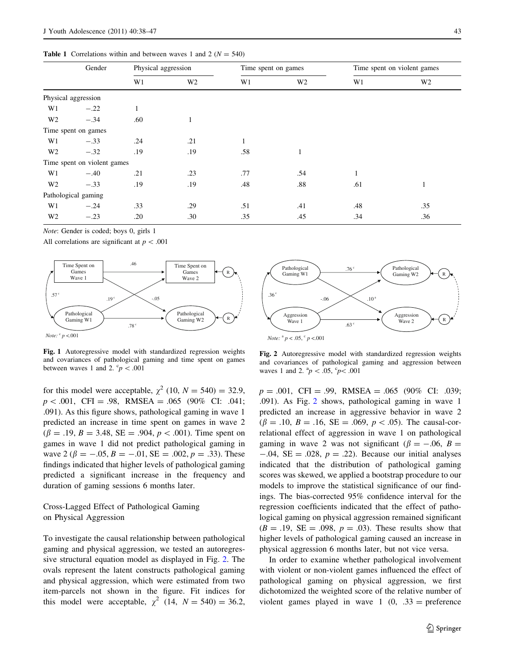<span id="page-5-0"></span>**Table 1** Correlations within and between waves 1 and 2 ( $N = 540$ )

|                | Gender                      | Physical aggression |                | Time spent on games |                | Time spent on violent games |                |
|----------------|-----------------------------|---------------------|----------------|---------------------|----------------|-----------------------------|----------------|
|                |                             | W1                  | W <sub>2</sub> | W1                  | W <sub>2</sub> | W1                          | W <sub>2</sub> |
|                | Physical aggression         |                     |                |                     |                |                             |                |
| W1             | $-.22$                      | $\mathbf{1}$        |                |                     |                |                             |                |
| W <sub>2</sub> | $-.34$                      | .60                 | 1              |                     |                |                             |                |
|                | Time spent on games         |                     |                |                     |                |                             |                |
| W1             | $-.33$                      | .24                 | .21            | $\mathbf{I}$        |                |                             |                |
| W <sub>2</sub> | $-.32$                      | .19                 | .19            | .58                 | $\mathbf{1}$   |                             |                |
|                | Time spent on violent games |                     |                |                     |                |                             |                |
| W1             | $-.40$                      | .21                 | .23            | .77                 | .54            | 1                           |                |
| W <sub>2</sub> | $-.33$                      | .19                 | .19            | .48                 | .88            | .61                         |                |
|                | Pathological gaming         |                     |                |                     |                |                             |                |
| W1             | $-.24$                      | .33                 | .29            | .51                 | .41            | .48                         | .35            |
| W <sub>2</sub> | $-.23$                      | .20                 | .30            | .35                 | .45            | .34                         | .36            |

Note: Gender is coded; boys 0, girls 1

All correlations are significant at  $p < .001$ 



Fig. 1 Autoregressive model with standardized regression weights and covariances of pathological gaming and time spent on games between waves 1 and 2.  $\epsilon_p < .001$ 

for this model were acceptable,  $\chi^2$  (10,  $N = 540$ ) = 32.9,  $p \lt .001$ , CFI = .98, RMSEA = .065 (90% CI: .041; .091). As this figure shows, pathological gaming in wave 1 predicted an increase in time spent on games in wave 2  $(\beta = .19, B = 3.48, SE = .904, p < .001)$ . Time spent on games in wave 1 did not predict pathological gaming in wave 2 ( $\beta = -.05, B = -.01, SE = .002, p = .33$ ). These findings indicated that higher levels of pathological gaming predicted a significant increase in the frequency and duration of gaming sessions 6 months later.

Cross-Lagged Effect of Pathological Gaming on Physical Aggression

To investigate the causal relationship between pathological gaming and physical aggression, we tested an autoregressive structural equation model as displayed in Fig. 2. The ovals represent the latent constructs pathological gaming and physical aggression, which were estimated from two item-parcels not shown in the figure. Fit indices for this model were acceptable,  $\chi^2$  (14,  $N = 540$ ) = 36.2,



Fig. 2 Autoregressive model with standardized regression weights and covariances of pathological gaming and aggression between waves 1 and 2.  $^{a}p < .05$ ,  $^{c}p < .001$ 

 $p = .001$ , CFI = .99, RMSEA = .065 (90% CI: .039; .091). As Fig. 2 shows, pathological gaming in wave 1 predicted an increase in aggressive behavior in wave 2  $(\beta = .10, B = .16, SE = .069, p < .05)$ . The causal-correlational effect of aggression in wave 1 on pathological gaming in wave 2 was not significant ( $\beta = -.06$ ,  $B =$  $-.04$ , SE = .028,  $p = .22$ ). Because our initial analyses indicated that the distribution of pathological gaming scores was skewed, we applied a bootstrap procedure to our models to improve the statistical significance of our findings. The bias-corrected 95% confidence interval for the regression coefficients indicated that the effect of pathological gaming on physical aggression remained significant  $(B = .19, SE = .098, p = .03)$ . These results show that higher levels of pathological gaming caused an increase in physical aggression 6 months later, but not vice versa.

In order to examine whether pathological involvement with violent or non-violent games influenced the effect of pathological gaming on physical aggression, we first dichotomized the weighted score of the relative number of violent games played in wave  $1$  (0, .33 = preference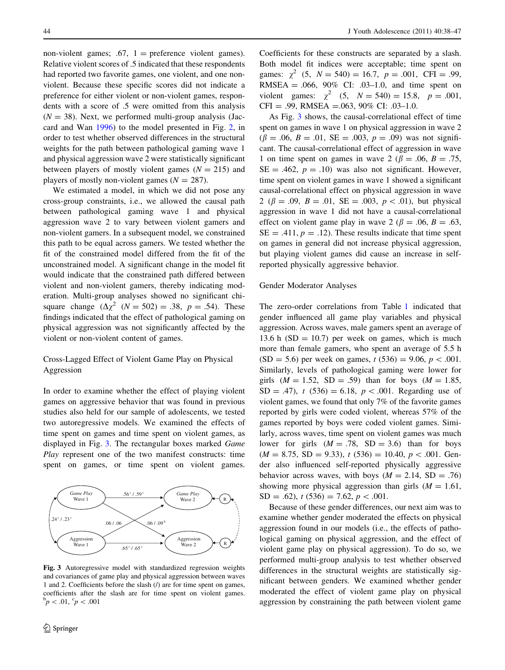<span id="page-6-0"></span>non-violent games;  $.67$ ,  $1$  = preference violent games). Relative violent scores of .5 indicated that these respondents had reported two favorite games, one violent, and one nonviolent. Because these specific scores did not indicate a preference for either violent or non-violent games, respondents with a score of .5 were omitted from this analysis  $(N = 38)$ . Next, we performed multi-group analysis (Jaccard and Wan [1996](#page-9-0)) to the model presented in Fig. [2,](#page-5-0) in order to test whether observed differences in the structural weights for the path between pathological gaming wave 1 and physical aggression wave 2 were statistically significant between players of mostly violent games  $(N = 215)$  and players of mostly non-violent games  $(N = 287)$ .

We estimated a model, in which we did not pose any cross-group constraints, i.e., we allowed the causal path between pathological gaming wave 1 and physical aggression wave 2 to vary between violent gamers and non-violent gamers. In a subsequent model, we constrained this path to be equal across gamers. We tested whether the fit of the constrained model differed from the fit of the unconstrained model. A significant change in the model fit would indicate that the constrained path differed between violent and non-violent gamers, thereby indicating moderation. Multi-group analyses showed no significant chisquare change  $(\Delta \chi^2 \ (N = 502) = .38, \ p = .54)$ . These findings indicated that the effect of pathological gaming on physical aggression was not significantly affected by the violent or non-violent content of games.

# Cross-Lagged Effect of Violent Game Play on Physical Aggression

In order to examine whether the effect of playing violent games on aggressive behavior that was found in previous studies also held for our sample of adolescents, we tested two autoregressive models. We examined the effects of time spent on games and time spent on violent games, as displayed in Fig. 3. The rectangular boxes marked Game Play represent one of the two manifest constructs: time spent on games, or time spent on violent games.



Fig. 3 Autoregressive model with standardized regression weights and covariances of game play and physical aggression between waves 1 and 2. Coefficients before the slash (/) are for time spent on games, coefficients after the slash are for time spent on violent games.  $b_p < .01, c_p < .001$ 

Coefficients for these constructs are separated by a slash. Both model fit indices were acceptable; time spent on games:  $\chi^2$  (5,  $N = 540$ ) = 16.7,  $p = .001$ , CFI = .99, RMSEA = .066, 90% CI: .03-1.0, and time spent on violent games:  $\chi^2$  (5,  $N = 540$ ) = 15.8,  $p = .001$ ,  $CFI = .99$ , RMSEA = .063, 90% CI: .03-1.0.

As Fig. 3 shows, the causal-correlational effect of time spent on games in wave 1 on physical aggression in wave 2  $(\beta = .06, B = .01, SE = .003, p = .09)$  was not significant. The causal-correlational effect of aggression in wave 1 on time spent on games in wave 2 ( $\beta$  = .06, B = .75,  $SE = .462$ ,  $p = .10$ ) was also not significant. However, time spent on violent games in wave 1 showed a significant causal-correlational effect on physical aggression in wave 2 ( $\beta = .09$ ,  $B = .01$ ,  $SE = .003$ ,  $p < .01$ ), but physical aggression in wave 1 did not have a causal-correlational effect on violent game play in wave 2 ( $\beta = .06$ ,  $B = .63$ ,  $SE = .411$ ,  $p = .12$ ). These results indicate that time spent on games in general did not increase physical aggression, but playing violent games did cause an increase in selfreported physically aggressive behavior.

# Gender Moderator Analyses

The zero-order correlations from Table [1](#page-5-0) indicated that gender influenced all game play variables and physical aggression. Across waves, male gamers spent an average of 13.6 h  $(SD = 10.7)$  per week on games, which is much more than female gamers, who spent an average of 5.5 h  $(SD = 5.6)$  per week on games,  $t (536) = 9.06$ ,  $p < .001$ . Similarly, levels of pathological gaming were lower for girls  $(M = 1.52, SD = .59)$  than for boys  $(M = 1.85,$  $SD = .47$ , t  $(536) = 6.18$ ,  $p < .001$ . Regarding use of violent games, we found that only 7% of the favorite games reported by girls were coded violent, whereas 57% of the games reported by boys were coded violent games. Similarly, across waves, time spent on violent games was much lower for girls  $(M = .78, SD = 3.6)$  than for boys  $(M = 8.75, SD = 9.33), t (536) = 10.40, p < .001$ . Gender also influenced self-reported physically aggressive behavior across waves, with boys ( $M = 2.14$ , SD = .76) showing more physical aggression than girls  $(M = 1.61,$  $SD = .62$ ,  $t(536) = 7.62$ ,  $p < .001$ .

Because of these gender differences, our next aim was to examine whether gender moderated the effects on physical aggression found in our models (i.e., the effects of pathological gaming on physical aggression, and the effect of violent game play on physical aggression). To do so, we performed multi-group analysis to test whether observed differences in the structural weights are statistically significant between genders. We examined whether gender moderated the effect of violent game play on physical aggression by constraining the path between violent game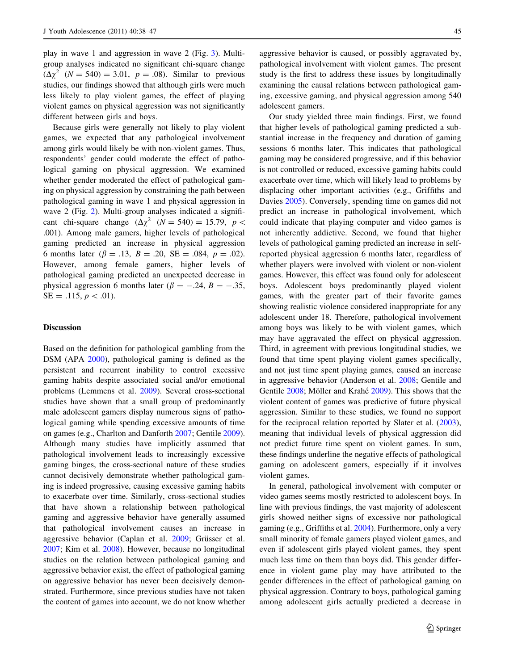play in wave 1 and aggression in wave 2 (Fig. [3](#page-6-0)). Multigroup analyses indicated no significant chi-square change  $(\Delta \gamma^2 \ (N = 540) = 3.01, \ p = .08)$ . Similar to previous studies, our findings showed that although girls were much less likely to play violent games, the effect of playing violent games on physical aggression was not significantly different between girls and boys.

Because girls were generally not likely to play violent games, we expected that any pathological involvement among girls would likely be with non-violent games. Thus, respondents' gender could moderate the effect of pathological gaming on physical aggression. We examined whether gender moderated the effect of pathological gaming on physical aggression by constraining the path between pathological gaming in wave 1 and physical aggression in wave [2](#page-5-0) (Fig. 2). Multi-group analyses indicated a significant chi-square change  $(\Delta \chi^2$  (N = 540) = 15.79, p < .001). Among male gamers, higher levels of pathological gaming predicted an increase in physical aggression 6 months later ( $\beta = .13$ ,  $B = .20$ ,  $SE = .084$ ,  $p = .02$ ). However, among female gamers, higher levels of pathological gaming predicted an unexpected decrease in physical aggression 6 months later ( $\beta = -.24$ ,  $B = -.35$ ,  $SE = .115, p < .01$ .

# Discussion

Based on the definition for pathological gambling from the DSM (APA [2000\)](#page-8-0), pathological gaming is defined as the persistent and recurrent inability to control excessive gaming habits despite associated social and/or emotional problems (Lemmens et al. [2009](#page-9-0)). Several cross-sectional studies have shown that a small group of predominantly male adolescent gamers display numerous signs of pathological gaming while spending excessive amounts of time on games (e.g., Charlton and Danforth [2007](#page-8-0); Gentile [2009](#page-8-0)). Although many studies have implicitly assumed that pathological involvement leads to increasingly excessive gaming binges, the cross-sectional nature of these studies cannot decisively demonstrate whether pathological gaming is indeed progressive, causing excessive gaming habits to exacerbate over time. Similarly, cross-sectional studies that have shown a relationship between pathological gaming and aggressive behavior have generally assumed that pathological involvement causes an increase in aggressive behavior (Caplan et al. [2009;](#page-8-0) Grüsser et al. [2007;](#page-9-0) Kim et al. [2008](#page-9-0)). However, because no longitudinal studies on the relation between pathological gaming and aggressive behavior exist, the effect of pathological gaming on aggressive behavior has never been decisively demonstrated. Furthermore, since previous studies have not taken the content of games into account, we do not know whether aggressive behavior is caused, or possibly aggravated by, pathological involvement with violent games. The present study is the first to address these issues by longitudinally examining the causal relations between pathological gaming, excessive gaming, and physical aggression among 540 adolescent gamers.

Our study yielded three main findings. First, we found that higher levels of pathological gaming predicted a substantial increase in the frequency and duration of gaming sessions 6 months later. This indicates that pathological gaming may be considered progressive, and if this behavior is not controlled or reduced, excessive gaming habits could exacerbate over time, which will likely lead to problems by displacing other important activities (e.g., Griffiths and Davies [2005\)](#page-9-0). Conversely, spending time on games did not predict an increase in pathological involvement, which could indicate that playing computer and video games is not inherently addictive. Second, we found that higher levels of pathological gaming predicted an increase in selfreported physical aggression 6 months later, regardless of whether players were involved with violent or non-violent games. However, this effect was found only for adolescent boys. Adolescent boys predominantly played violent games, with the greater part of their favorite games showing realistic violence considered inappropriate for any adolescent under 18. Therefore, pathological involvement among boys was likely to be with violent games, which may have aggravated the effect on physical aggression. Third, in agreement with previous longitudinal studies, we found that time spent playing violent games specifically, and not just time spent playing games, caused an increase in aggressive behavior (Anderson et al. [2008;](#page-8-0) Gentile and Gentile [2008](#page-9-0); Möller and Krahé [2009\)](#page-9-0). This shows that the violent content of games was predictive of future physical aggression. Similar to these studies, we found no support for the reciprocal relation reported by Slater et al. [\(2003](#page-9-0)), meaning that individual levels of physical aggression did not predict future time spent on violent games. In sum, these findings underline the negative effects of pathological gaming on adolescent gamers, especially if it involves violent games.

In general, pathological involvement with computer or video games seems mostly restricted to adolescent boys. In line with previous findings, the vast majority of adolescent girls showed neither signs of excessive nor pathological gaming (e.g., Griffiths et al. [2004\)](#page-9-0). Furthermore, only a very small minority of female gamers played violent games, and even if adolescent girls played violent games, they spent much less time on them than boys did. This gender difference in violent game play may have attributed to the gender differences in the effect of pathological gaming on physical aggression. Contrary to boys, pathological gaming among adolescent girls actually predicted a decrease in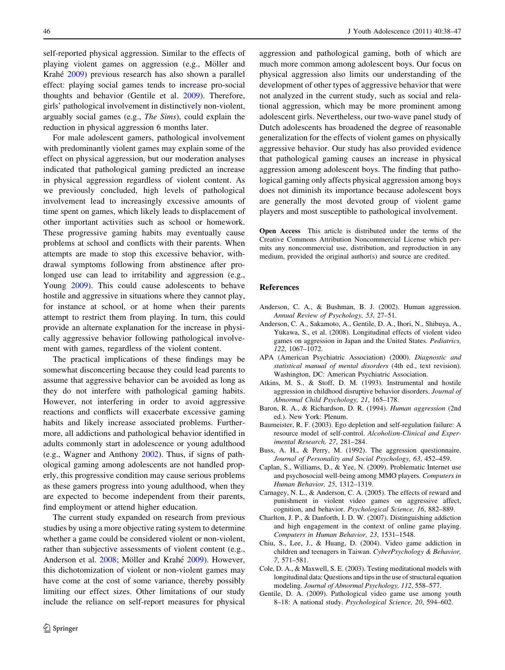<span id="page-8-0"></span>self-reported physical aggression. Similar to the effects of playing violent games on aggression (e.g., Möller and Krahé [2009](#page-9-0)) previous research has also shown a parallel effect: playing social games tends to increase pro-social thoughts and behavior (Gentile et al. [2009](#page-9-0)). Therefore, girls' pathological involvement in distinctively non-violent, arguably social games (e.g., The Sims), could explain the reduction in physical aggression 6 months later.

For male adolescent gamers, pathological involvement with predominantly violent games may explain some of the effect on physical aggression, but our moderation analyses indicated that pathological gaming predicted an increase in physical aggression regardless of violent content. As we previously concluded, high levels of pathological involvement lead to increasingly excessive amounts of time spent on games, which likely leads to displacement of other important activities such as school or homework. These progressive gaming habits may eventually cause problems at school and conflicts with their parents. When attempts are made to stop this excessive behavior, withdrawal symptoms following from abstinence after prolonged use can lead to irritability and aggression (e.g., Young [2009\)](#page-9-0). This could cause adolescents to behave hostile and aggressive in situations where they cannot play, for instance at school, or at home when their parents attempt to restrict them from playing. In turn, this could provide an alternate explanation for the increase in physically aggressive behavior following pathological involvement with games, regardless of the violent content.

The practical implications of these findings may be somewhat disconcerting because they could lead parents to assume that aggressive behavior can be avoided as long as they do not interfere with pathological gaming habits. However, not interfering in order to avoid aggressive reactions and conflicts will exacerbate excessive gaming habits and likely increase associated problems. Furthermore, all addictions and pathological behavior identified in adults commonly start in adolescence or young adulthood (e.g., Wagner and Anthony [2002](#page-9-0)). Thus, if signs of pathological gaming among adolescents are not handled properly, this progressive condition may cause serious problems as these gamers progress into young adulthood, when they are expected to become independent from their parents, find employment or attend higher education.

The current study expanded on research from previous studies by using a more objective rating system to determine whether a game could be considered violent or non-violent, rather than subjective assessments of violent content (e.g., Anderson et al. 2008; Möller and Krahé [2009\)](#page-9-0). However, this dichotomization of violent or non-violent games may have come at the cost of some variance, thereby possibly limiting our effect sizes. Other limitations of our study include the reliance on self-report measures for physical aggression and pathological gaming, both of which are much more common among adolescent boys. Our focus on physical aggression also limits our understanding of the development of other types of aggressive behavior that were not analyzed in the current study, such as social and relational aggression, which may be more prominent among adolescent girls. Nevertheless, our two-wave panel study of Dutch adolescents has broadened the degree of reasonable generalization for the effects of violent games on physically aggressive behavior. Our study has also provided evidence that pathological gaming causes an increase in physical aggression among adolescent boys. The finding that pathological gaming only affects physical aggression among boys does not diminish its importance because adolescent boys are generally the most devoted group of violent game players and most susceptible to pathological involvement.

Open Access This article is distributed under the terms of the Creative Commons Attribution Noncommercial License which permits any noncommercial use, distribution, and reproduction in any medium, provided the original author(s) and source are credited.

#### References

- Anderson, C. A., & Bushman, B. J. (2002). Human aggression. Annual Review of Psychology, 53, 27–51.
- Anderson, C. A., Sakamoto, A., Gentile, D. A., Ihori, N., Shibuya, A., Yukawa, S., et al. (2008). Longitudinal effects of violent video games on aggression in Japan and the United States. Pediatrics, 122, 1067–1072.
- APA (American Psychiatric Association) (2000). Diagnostic and statistical manual of mental disorders (4th ed., text revision). Washington, DC: American Psychiatric Association.
- Atkins, M. S., & Stoff, D. M. (1993). Instrumental and hostile aggression in childhood disruptive behavior disorders. Journal of Abnormal Child Psychology, 21, 165–178.
- Baron, R. A., & Richardson, D. R. (1994). Human aggression (2nd ed.). New York: Plenum.
- Baumeister, R. F. (2003). Ego depletion and self-regulation failure: A resource model of self-control. Alcoholism-Clinical and Experimental Research, 27, 281–284.
- Buss, A. H., & Perry, M. (1992). The aggression questionnaire. Journal of Personality and Social Psychology, 63, 452–459.
- Caplan, S., Williams, D., & Yee, N. (2009). Problematic Internet use and psychosocial well-being among MMO players. Computers in Human Behavior, 25, 1312–1319.
- Carnagey, N. L., & Anderson, C. A. (2005). The effects of reward and punishment in violent video games on aggressive affect, cognition, and behavior. Psychological Science, 16, 882–889.
- Charlton, J. P., & Danforth, I. D. W. (2007). Distinguishing addiction and high engagement in the context of online game playing. Computers in Human Behavior, 23, 1531–1548.
- Chiu, S., Lee, J., & Huang, D. (2004). Video game addiction in children and teenagers in Taiwan. CyberPsychology & Behavior, 7, 571–581.
- Cole, D. A., & Maxwell, S. E. (2003). Testing meditational models with longitudinal data: Questions and tips in the use of structural equation modeling. Journal of Abnormal Psychology, 112, 558–577.
- Gentile, D. A. (2009). Pathological video game use among youth 8–18: A national study. Psychological Science, 20, 594–602.